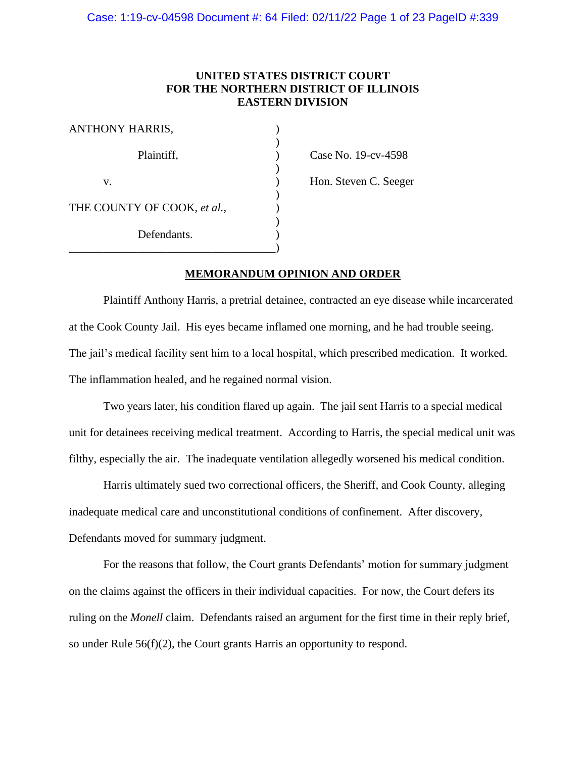# **UNITED STATES DISTRICT COURT FOR THE NORTHERN DISTRICT OF ILLINOIS EASTERN DIVISION**

| <b>ANTHONY HARRIS,</b>      |  |
|-----------------------------|--|
| Plaintiff,                  |  |
| V.                          |  |
| THE COUNTY OF COOK, et al., |  |
| Defendants.                 |  |
|                             |  |

 $\text{Case No. 19-cv-4598}$ 

) Hon. Steven C. Seeger

# **MEMORANDUM OPINION AND ORDER**

Plaintiff Anthony Harris, a pretrial detainee, contracted an eye disease while incarcerated at the Cook County Jail. His eyes became inflamed one morning, and he had trouble seeing. The jail's medical facility sent him to a local hospital, which prescribed medication. It worked. The inflammation healed, and he regained normal vision.

Two years later, his condition flared up again. The jail sent Harris to a special medical unit for detainees receiving medical treatment. According to Harris, the special medical unit was filthy, especially the air. The inadequate ventilation allegedly worsened his medical condition.

Harris ultimately sued two correctional officers, the Sheriff, and Cook County, alleging inadequate medical care and unconstitutional conditions of confinement. After discovery, Defendants moved for summary judgment.

For the reasons that follow, the Court grants Defendants' motion for summary judgment on the claims against the officers in their individual capacities. For now, the Court defers its ruling on the *Monell* claim. Defendants raised an argument for the first time in their reply brief, so under Rule 56(f)(2), the Court grants Harris an opportunity to respond.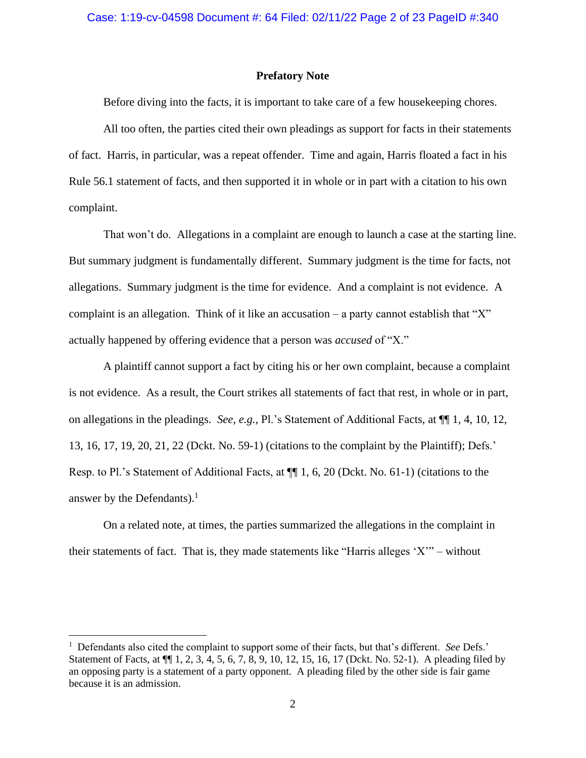#### **Prefatory Note**

Before diving into the facts, it is important to take care of a few housekeeping chores.

All too often, the parties cited their own pleadings as support for facts in their statements of fact. Harris, in particular, was a repeat offender. Time and again, Harris floated a fact in his Rule 56.1 statement of facts, and then supported it in whole or in part with a citation to his own complaint.

That won't do. Allegations in a complaint are enough to launch a case at the starting line. But summary judgment is fundamentally different. Summary judgment is the time for facts, not allegations. Summary judgment is the time for evidence. And a complaint is not evidence. A complaint is an allegation. Think of it like an accusation – a party cannot establish that " $X$ " actually happened by offering evidence that a person was *accused* of "X."

A plaintiff cannot support a fact by citing his or her own complaint, because a complaint is not evidence. As a result, the Court strikes all statements of fact that rest, in whole or in part, on allegations in the pleadings. *See, e.g.*, Pl.'s Statement of Additional Facts, at ¶¶ 1, 4, 10, 12, 13, 16, 17, 19, 20, 21, 22 (Dckt. No. 59-1) (citations to the complaint by the Plaintiff); Defs.' Resp. to Pl.'s Statement of Additional Facts, at ¶¶ 1, 6, 20 (Dckt. No. 61-1) (citations to the answer by the Defendants).<sup>1</sup>

On a related note, at times, the parties summarized the allegations in the complaint in their statements of fact. That is, they made statements like "Harris alleges 'X'" – without

<sup>&</sup>lt;sup>1</sup> Defendants also cited the complaint to support some of their facts, but that's different. *See* Defs.' Statement of Facts, at ¶¶ 1, 2, 3, 4, 5, 6, 7, 8, 9, 10, 12, 15, 16, 17 (Dckt. No. 52-1). A pleading filed by an opposing party is a statement of a party opponent. A pleading filed by the other side is fair game because it is an admission.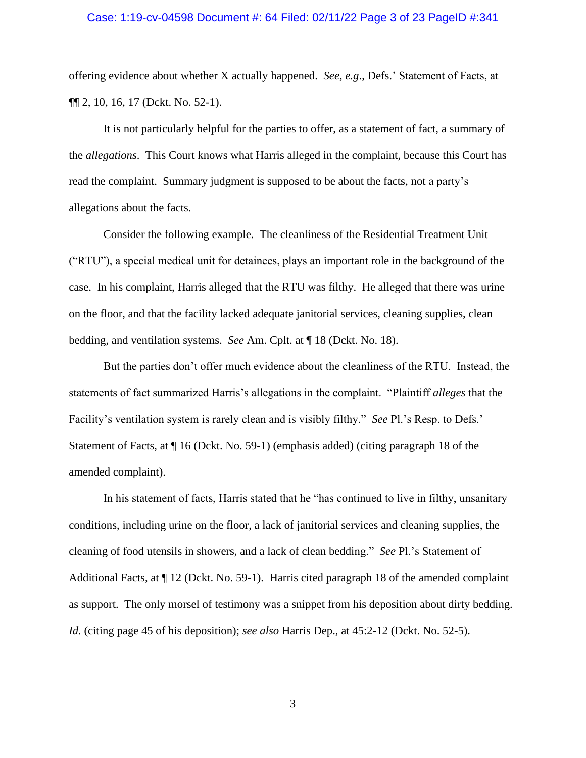#### Case: 1:19-cv-04598 Document #: 64 Filed: 02/11/22 Page 3 of 23 PageID #:341

offering evidence about whether X actually happened. *See, e.g*., Defs.' Statement of Facts, at ¶¶ 2, 10, 16, 17 (Dckt. No. 52-1).

It is not particularly helpful for the parties to offer, as a statement of fact, a summary of the *allegations*. This Court knows what Harris alleged in the complaint, because this Court has read the complaint. Summary judgment is supposed to be about the facts, not a party's allegations about the facts.

Consider the following example. The cleanliness of the Residential Treatment Unit ("RTU"), a special medical unit for detainees, plays an important role in the background of the case. In his complaint, Harris alleged that the RTU was filthy. He alleged that there was urine on the floor, and that the facility lacked adequate janitorial services, cleaning supplies, clean bedding, and ventilation systems. *See* Am. Cplt. at ¶ 18 (Dckt. No. 18).

But the parties don't offer much evidence about the cleanliness of the RTU. Instead, the statements of fact summarized Harris's allegations in the complaint. "Plaintiff *alleges* that the Facility's ventilation system is rarely clean and is visibly filthy." *See* Pl.'s Resp. to Defs.' Statement of Facts, at ¶ 16 (Dckt. No. 59-1) (emphasis added) (citing paragraph 18 of the amended complaint).

In his statement of facts, Harris stated that he "has continued to live in filthy, unsanitary conditions, including urine on the floor, a lack of janitorial services and cleaning supplies, the cleaning of food utensils in showers, and a lack of clean bedding." *See* Pl.'s Statement of Additional Facts, at  $\P$  12 (Dckt. No. 59-1). Harris cited paragraph 18 of the amended complaint as support. The only morsel of testimony was a snippet from his deposition about dirty bedding. *Id.* (citing page 45 of his deposition); *see also* Harris Dep., at 45:2-12 (Dckt. No. 52-5).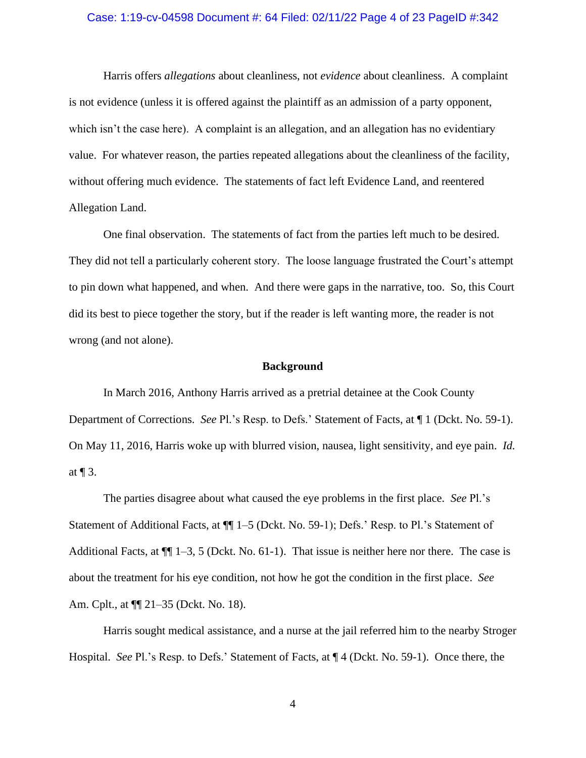#### Case: 1:19-cv-04598 Document #: 64 Filed: 02/11/22 Page 4 of 23 PageID #:342

Harris offers *allegations* about cleanliness, not *evidence* about cleanliness. A complaint is not evidence (unless it is offered against the plaintiff as an admission of a party opponent, which isn't the case here). A complaint is an allegation, and an allegation has no evidentiary value. For whatever reason, the parties repeated allegations about the cleanliness of the facility, without offering much evidence. The statements of fact left Evidence Land, and reentered Allegation Land.

One final observation. The statements of fact from the parties left much to be desired. They did not tell a particularly coherent story. The loose language frustrated the Court's attempt to pin down what happened, and when. And there were gaps in the narrative, too. So, this Court did its best to piece together the story, but if the reader is left wanting more, the reader is not wrong (and not alone).

#### **Background**

In March 2016, Anthony Harris arrived as a pretrial detainee at the Cook County Department of Corrections. *See* Pl.'s Resp. to Defs.' Statement of Facts, at ¶ 1 (Dckt. No. 59-1). On May 11, 2016, Harris woke up with blurred vision, nausea, light sensitivity, and eye pain. *Id.* at  $\P$  3.

The parties disagree about what caused the eye problems in the first place. *See* Pl.'s Statement of Additional Facts, at ¶¶ 1–5 (Dckt. No. 59-1); Defs.' Resp. to Pl.'s Statement of Additional Facts, at  $\P$  1–3, 5 (Dckt. No. 61-1). That issue is neither here nor there. The case is about the treatment for his eye condition, not how he got the condition in the first place. *See*  Am. Cplt., at ¶¶ 21–35 (Dckt. No. 18).

Harris sought medical assistance, and a nurse at the jail referred him to the nearby Stroger Hospital. *See* Pl.'s Resp. to Defs.' Statement of Facts, at ¶ 4 (Dckt. No. 59-1). Once there, the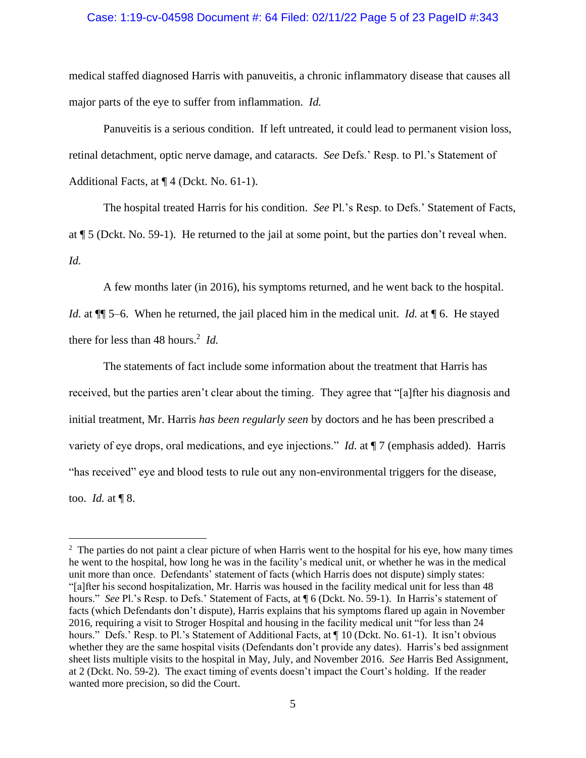## Case: 1:19-cv-04598 Document #: 64 Filed: 02/11/22 Page 5 of 23 PageID #:343

medical staffed diagnosed Harris with panuveitis, a chronic inflammatory disease that causes all major parts of the eye to suffer from inflammation. *Id.*

Panuveitis is a serious condition. If left untreated, it could lead to permanent vision loss, retinal detachment, optic nerve damage, and cataracts. *See* Defs.' Resp. to Pl.'s Statement of Additional Facts, at  $\P$  4 (Dckt. No. 61-1).

The hospital treated Harris for his condition. *See* Pl.'s Resp. to Defs.' Statement of Facts, at ¶ 5 (Dckt. No. 59-1). He returned to the jail at some point, but the parties don't reveal when. *Id.*

A few months later (in 2016), his symptoms returned, and he went back to the hospital.

*Id.* at  $\P$  5–6. When he returned, the jail placed him in the medical unit. *Id.* at  $\P$  6. He stayed there for less than 48 hours. 2 *Id.*

The statements of fact include some information about the treatment that Harris has received, but the parties aren't clear about the timing. They agree that "[a]fter his diagnosis and initial treatment, Mr. Harris *has been regularly seen* by doctors and he has been prescribed a variety of eye drops, oral medications, and eye injections." *Id.* at  $\P$  7 (emphasis added). Harris "has received" eye and blood tests to rule out any non-environmental triggers for the disease, too. *Id.* at ¶ 8.

 $2<sup>2</sup>$  The parties do not paint a clear picture of when Harris went to the hospital for his eye, how many times he went to the hospital, how long he was in the facility's medical unit, or whether he was in the medical unit more than once. Defendants' statement of facts (which Harris does not dispute) simply states: "[a]fter his second hospitalization, Mr. Harris was housed in the facility medical unit for less than 48 hours." *See* Pl.'s Resp. to Defs.' Statement of Facts, at  $\parallel$  6 (Dckt. No. 59-1). In Harris's statement of facts (which Defendants don't dispute), Harris explains that his symptoms flared up again in November 2016, requiring a visit to Stroger Hospital and housing in the facility medical unit "for less than 24 hours." Defs.' Resp. to Pl.'s Statement of Additional Facts, at  $\P$  10 (Dckt. No. 61-1). It isn't obvious whether they are the same hospital visits (Defendants don't provide any dates). Harris's bed assignment sheet lists multiple visits to the hospital in May, July, and November 2016. *See* Harris Bed Assignment, at 2 (Dckt. No. 59-2). The exact timing of events doesn't impact the Court's holding. If the reader wanted more precision, so did the Court.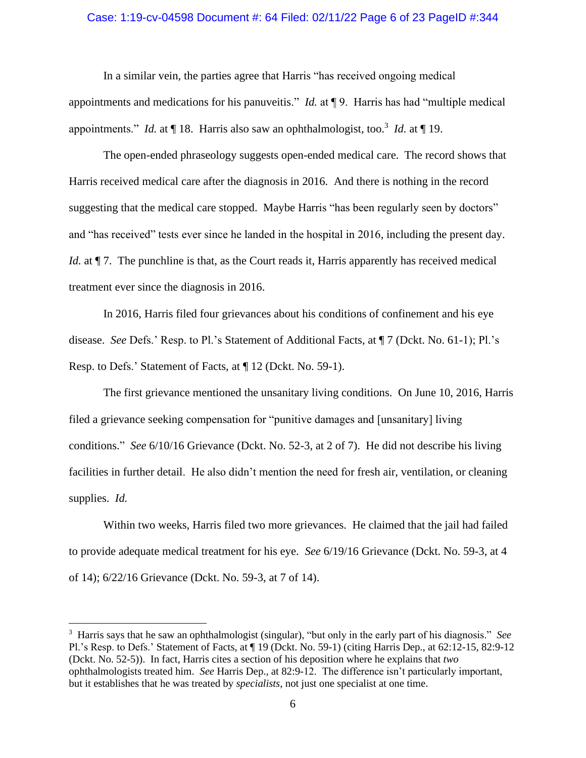## Case: 1:19-cv-04598 Document #: 64 Filed: 02/11/22 Page 6 of 23 PageID #:344

In a similar vein, the parties agree that Harris "has received ongoing medical appointments and medications for his panuveitis." *Id.* at ¶ 9. Harris has had "multiple medical appointments." *Id.* at  $\P$  18. Harris also saw an ophthalmologist, too.<sup>3</sup> *Id.* at  $\P$  19.

The open-ended phraseology suggests open-ended medical care. The record shows that Harris received medical care after the diagnosis in 2016. And there is nothing in the record suggesting that the medical care stopped. Maybe Harris "has been regularly seen by doctors" and "has received" tests ever since he landed in the hospital in 2016, including the present day. *Id.* at  $\P$  7. The punchline is that, as the Court reads it, Harris apparently has received medical treatment ever since the diagnosis in 2016.

In 2016, Harris filed four grievances about his conditions of confinement and his eye disease. *See* Defs.' Resp. to Pl.'s Statement of Additional Facts, at ¶ 7 (Dckt. No. 61-1); Pl.'s Resp. to Defs.' Statement of Facts, at ¶ 12 (Dckt. No. 59-1).

The first grievance mentioned the unsanitary living conditions. On June 10, 2016, Harris filed a grievance seeking compensation for "punitive damages and [unsanitary] living conditions." *See* 6/10/16 Grievance (Dckt. No. 52-3, at 2 of 7). He did not describe his living facilities in further detail. He also didn't mention the need for fresh air, ventilation, or cleaning supplies. *Id.* 

Within two weeks, Harris filed two more grievances. He claimed that the jail had failed to provide adequate medical treatment for his eye. *See* 6/19/16 Grievance (Dckt. No. 59-3, at 4 of 14); 6/22/16 Grievance (Dckt. No. 59-3, at 7 of 14).

<sup>3</sup> Harris says that he saw an ophthalmologist (singular), "but only in the early part of his diagnosis." *See*  Pl.'s Resp. to Defs.' Statement of Facts, at ¶ 19 (Dckt. No. 59-1) (citing Harris Dep., at 62:12-15, 82:9-12 (Dckt. No. 52-5)). In fact, Harris cites a section of his deposition where he explains that *two*  ophthalmologists treated him. *See* Harris Dep., at 82:9-12. The difference isn't particularly important, but it establishes that he was treated by *specialists*, not just one specialist at one time.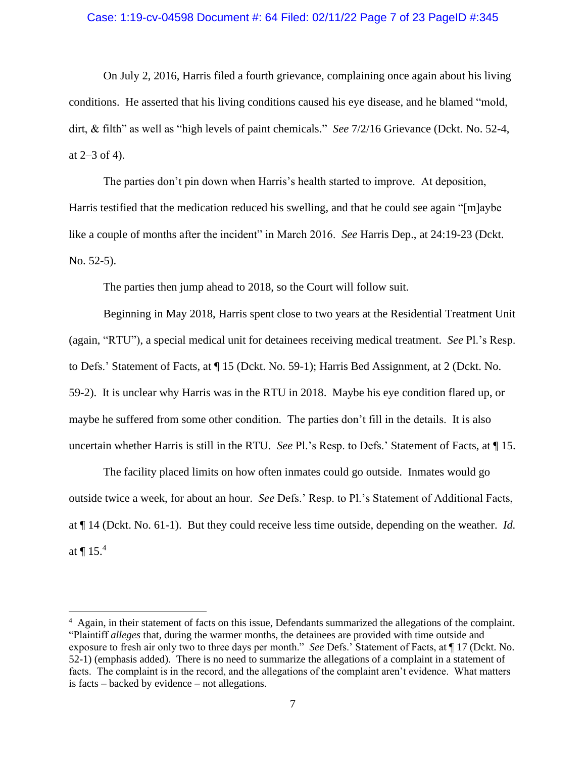## Case: 1:19-cv-04598 Document #: 64 Filed: 02/11/22 Page 7 of 23 PageID #:345

On July 2, 2016, Harris filed a fourth grievance, complaining once again about his living conditions. He asserted that his living conditions caused his eye disease, and he blamed "mold, dirt, & filth" as well as "high levels of paint chemicals." *See* 7/2/16 Grievance (Dckt. No. 52-4, at 2–3 of 4).

The parties don't pin down when Harris's health started to improve. At deposition, Harris testified that the medication reduced his swelling, and that he could see again "[m]aybe like a couple of months after the incident" in March 2016. *See* Harris Dep., at 24:19-23 (Dckt. No. 52-5).

The parties then jump ahead to 2018, so the Court will follow suit.

Beginning in May 2018, Harris spent close to two years at the Residential Treatment Unit (again, "RTU"), a special medical unit for detainees receiving medical treatment. *See* Pl.'s Resp. to Defs.' Statement of Facts, at ¶ 15 (Dckt. No. 59-1); Harris Bed Assignment, at 2 (Dckt. No. 59-2). It is unclear why Harris was in the RTU in 2018. Maybe his eye condition flared up, or maybe he suffered from some other condition. The parties don't fill in the details. It is also uncertain whether Harris is still in the RTU. *See* Pl.'s Resp. to Defs.' Statement of Facts, at ¶ 15.

The facility placed limits on how often inmates could go outside. Inmates would go outside twice a week, for about an hour. *See* Defs.' Resp. to Pl.'s Statement of Additional Facts, at ¶ 14 (Dckt. No. 61-1). But they could receive less time outside, depending on the weather. *Id.* at  $\P$  15.<sup>4</sup>

<sup>&</sup>lt;sup>4</sup> Again, in their statement of facts on this issue, Defendants summarized the allegations of the complaint. "Plaintiff *alleges* that, during the warmer months, the detainees are provided with time outside and exposure to fresh air only two to three days per month." *See* Defs.' Statement of Facts, at ¶ 17 (Dckt. No. 52-1) (emphasis added). There is no need to summarize the allegations of a complaint in a statement of facts. The complaint is in the record, and the allegations of the complaint aren't evidence. What matters is facts – backed by evidence – not allegations.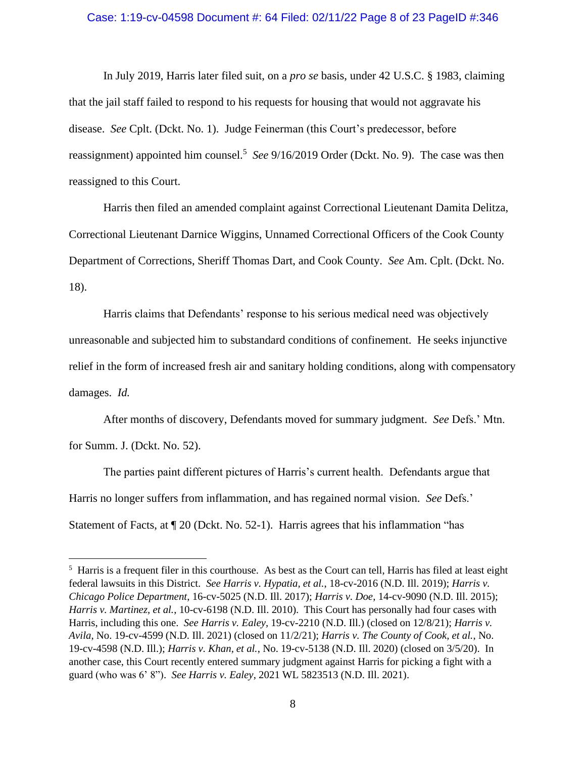### Case: 1:19-cv-04598 Document #: 64 Filed: 02/11/22 Page 8 of 23 PageID #:346

In July 2019, Harris later filed suit, on a *pro se* basis, under 42 U.S.C. § 1983, claiming that the jail staff failed to respond to his requests for housing that would not aggravate his disease. *See* Cplt. (Dckt. No. 1). Judge Feinerman (this Court's predecessor, before reassignment) appointed him counsel.<sup>5</sup> See 9/16/2019 Order (Dckt. No. 9). The case was then reassigned to this Court.

Harris then filed an amended complaint against Correctional Lieutenant Damita Delitza, Correctional Lieutenant Darnice Wiggins, Unnamed Correctional Officers of the Cook County Department of Corrections, Sheriff Thomas Dart, and Cook County. *See* Am. Cplt. (Dckt. No. 18).

Harris claims that Defendants' response to his serious medical need was objectively unreasonable and subjected him to substandard conditions of confinement. He seeks injunctive relief in the form of increased fresh air and sanitary holding conditions, along with compensatory damages. *Id.* 

After months of discovery, Defendants moved for summary judgment. *See* Defs.' Mtn. for Summ. J. (Dckt. No. 52).

The parties paint different pictures of Harris's current health. Defendants argue that Harris no longer suffers from inflammation, and has regained normal vision. *See* Defs.' Statement of Facts, at ¶ 20 (Dckt. No. 52-1). Harris agrees that his inflammation "has

<sup>&</sup>lt;sup>5</sup> Harris is a frequent filer in this courthouse. As best as the Court can tell, Harris has filed at least eight federal lawsuits in this District. *See Harris v. Hypatia, et al.*, 18-cv-2016 (N.D. Ill. 2019); *Harris v. Chicago Police Department*, 16-cv-5025 (N.D. Ill. 2017); *Harris v. Doe*, 14-cv-9090 (N.D. Ill. 2015); *Harris v. Martinez, et al.*, 10-cv-6198 (N.D. Ill. 2010). This Court has personally had four cases with Harris, including this one. *See Harris v. Ealey*, 19-cv-2210 (N.D. Ill.) (closed on 12/8/21); *Harris v. Avila*, No. 19-cv-4599 (N.D. Ill. 2021) (closed on 11/2/21); *Harris v. The County of Cook, et al.*, No. 19-cv-4598 (N.D. Ill.); *Harris v. Khan, et al.*, No. 19-cv-5138 (N.D. Ill. 2020) (closed on 3/5/20). In another case, this Court recently entered summary judgment against Harris for picking a fight with a guard (who was 6' 8"). *See Harris v. Ealey*, 2021 WL 5823513 (N.D. Ill. 2021).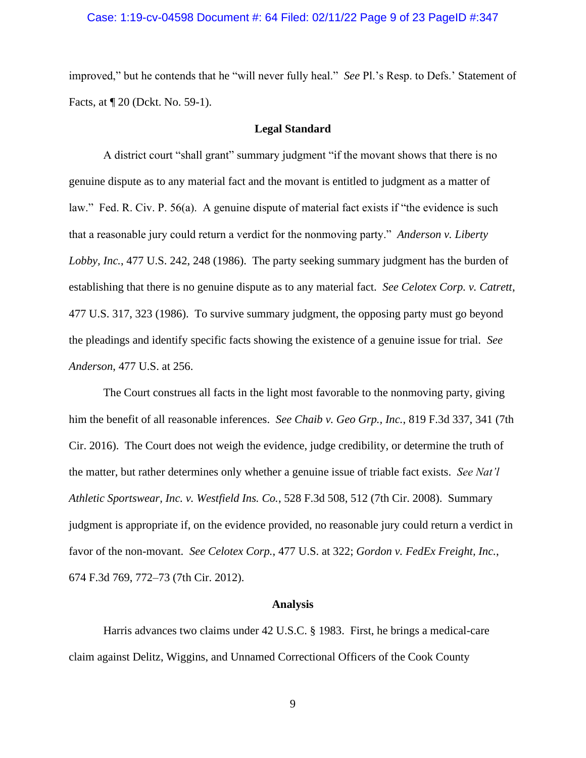## Case: 1:19-cv-04598 Document #: 64 Filed: 02/11/22 Page 9 of 23 PageID #:347

improved," but he contends that he "will never fully heal." *See* Pl.'s Resp. to Defs.' Statement of Facts, at ¶ 20 (Dckt. No. 59-1).

#### **Legal Standard**

A district court "shall grant" summary judgment "if the movant shows that there is no genuine dispute as to any material fact and the movant is entitled to judgment as a matter of law." Fed. R. Civ. P. 56(a). A genuine dispute of material fact exists if "the evidence is such that a reasonable jury could return a verdict for the nonmoving party." *Anderson v. Liberty Lobby, Inc.*, 477 U.S. 242, 248 (1986). The party seeking summary judgment has the burden of establishing that there is no genuine dispute as to any material fact. *See Celotex Corp. v. Catrett*, 477 U.S. 317, 323 (1986). To survive summary judgment, the opposing party must go beyond the pleadings and identify specific facts showing the existence of a genuine issue for trial. *See Anderson*, 477 U.S. at 256.

The Court construes all facts in the light most favorable to the nonmoving party, giving him the benefit of all reasonable inferences. *See Chaib v. Geo Grp., Inc.*, 819 F.3d 337, 341 (7th Cir. 2016). The Court does not weigh the evidence, judge credibility, or determine the truth of the matter, but rather determines only whether a genuine issue of triable fact exists. *See Nat'l Athletic Sportswear, Inc. v. Westfield Ins. Co.*, 528 F.3d 508, 512 (7th Cir. 2008). Summary judgment is appropriate if, on the evidence provided, no reasonable jury could return a verdict in favor of the non-movant. *See Celotex Corp.*, 477 U.S. at 322; *Gordon v. FedEx Freight, Inc.*, 674 F.3d 769, 772–73 (7th Cir. 2012).

#### **Analysis**

Harris advances two claims under 42 U.S.C. § 1983. First, he brings a medical-care claim against Delitz, Wiggins, and Unnamed Correctional Officers of the Cook County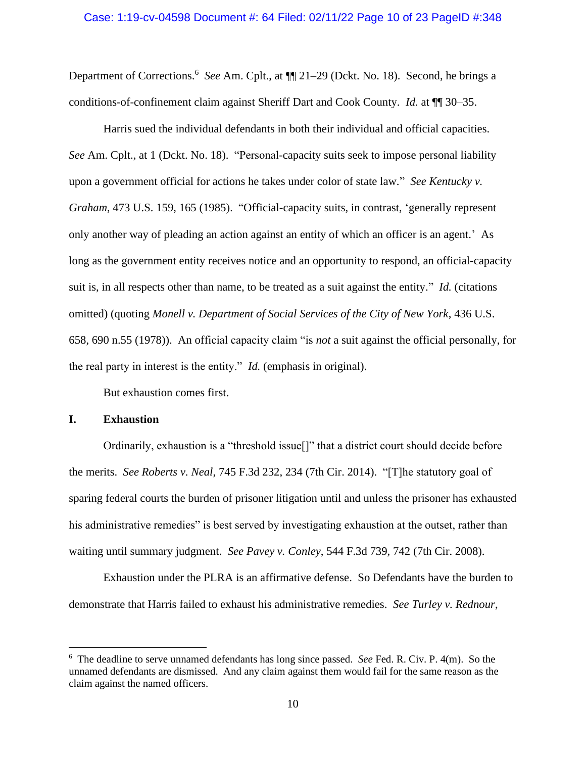### Case: 1:19-cv-04598 Document #: 64 Filed: 02/11/22 Page 10 of 23 PageID #:348

Department of Corrections.<sup>6</sup> See Am. Cplt., at  $\P$  21–29 (Dckt. No. 18). Second, he brings a conditions-of-confinement claim against Sheriff Dart and Cook County. *Id.* at ¶¶ 30–35.

Harris sued the individual defendants in both their individual and official capacities. *See* Am. Cplt., at 1 (Dckt. No. 18). "Personal-capacity suits seek to impose personal liability upon a government official for actions he takes under color of state law." *See Kentucky v. Graham*, 473 U.S. 159, 165 (1985). "Official-capacity suits, in contrast, 'generally represent only another way of pleading an action against an entity of which an officer is an agent.' As long as the government entity receives notice and an opportunity to respond, an official-capacity suit is, in all respects other than name, to be treated as a suit against the entity." *Id.* (citations omitted) (quoting *Monell v. Department of Social Services of the City of New York*, 436 U.S. 658, 690 n.55 (1978)). An official capacity claim "is *not* a suit against the official personally, for the real party in interest is the entity." *Id.* (emphasis in original).

But exhaustion comes first.

# **I. Exhaustion**

Ordinarily, exhaustion is a "threshold issue[]" that a district court should decide before the merits. *See Roberts v. Neal*, 745 F.3d 232, 234 (7th Cir. 2014). "[T]he statutory goal of sparing federal courts the burden of prisoner litigation until and unless the prisoner has exhausted his administrative remedies" is best served by investigating exhaustion at the outset, rather than waiting until summary judgment. *See Pavey v. Conley*, 544 F.3d 739, 742 (7th Cir. 2008).

Exhaustion under the PLRA is an affirmative defense. So Defendants have the burden to demonstrate that Harris failed to exhaust his administrative remedies. *See Turley v. Rednour*,

<sup>6</sup> The deadline to serve unnamed defendants has long since passed. *See* Fed. R. Civ. P. 4(m). So the unnamed defendants are dismissed. And any claim against them would fail for the same reason as the claim against the named officers.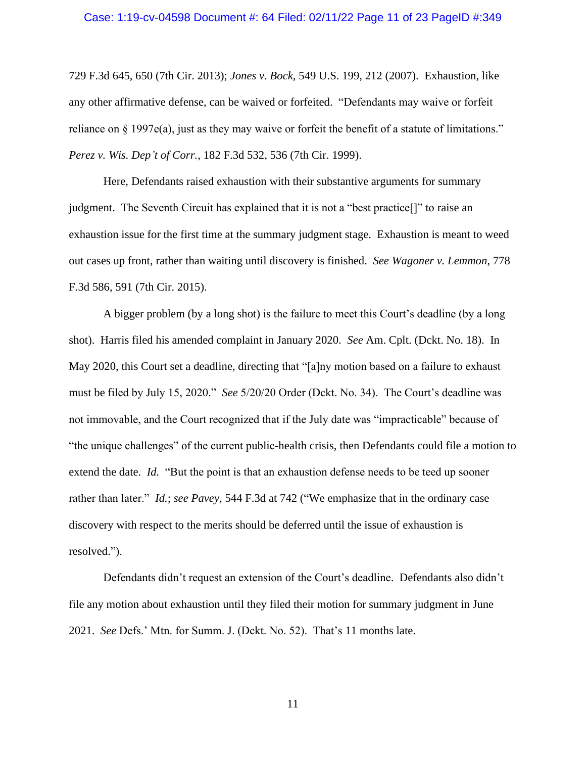#### Case: 1:19-cv-04598 Document #: 64 Filed: 02/11/22 Page 11 of 23 PageID #:349

729 F.3d 645, 650 (7th Cir. 2013); *Jones v. Bock*, 549 U.S. 199, 212 (2007). Exhaustion, like any other affirmative defense, can be waived or forfeited. "Defendants may waive or forfeit reliance on  $\S$  1997e(a), just as they may waive or forfeit the benefit of a statute of limitations." *Perez v. Wis. Dep't of Corr.*, 182 F.3d 532, 536 (7th Cir. 1999).

Here, Defendants raised exhaustion with their substantive arguments for summary judgment. The Seventh Circuit has explained that it is not a "best practice[]" to raise an exhaustion issue for the first time at the summary judgment stage. Exhaustion is meant to weed out cases up front, rather than waiting until discovery is finished. *See Wagoner v. Lemmon*, 778 F.3d 586, 591 (7th Cir. 2015).

A bigger problem (by a long shot) is the failure to meet this Court's deadline (by a long shot). Harris filed his amended complaint in January 2020. *See* Am. Cplt. (Dckt. No. 18). In May 2020, this Court set a deadline, directing that "[a]ny motion based on a failure to exhaust must be filed by July 15, 2020." *See* 5/20/20 Order (Dckt. No. 34). The Court's deadline was not immovable, and the Court recognized that if the July date was "impracticable" because of "the unique challenges" of the current public-health crisis, then Defendants could file a motion to extend the date. *Id.* "But the point is that an exhaustion defense needs to be teed up sooner rather than later." *Id.*; *see Pavey*, 544 F.3d at 742 ("We emphasize that in the ordinary case discovery with respect to the merits should be deferred until the issue of exhaustion is resolved.").

Defendants didn't request an extension of the Court's deadline. Defendants also didn't file any motion about exhaustion until they filed their motion for summary judgment in June 2021. *See* Defs.' Mtn. for Summ. J. (Dckt. No. 52). That's 11 months late.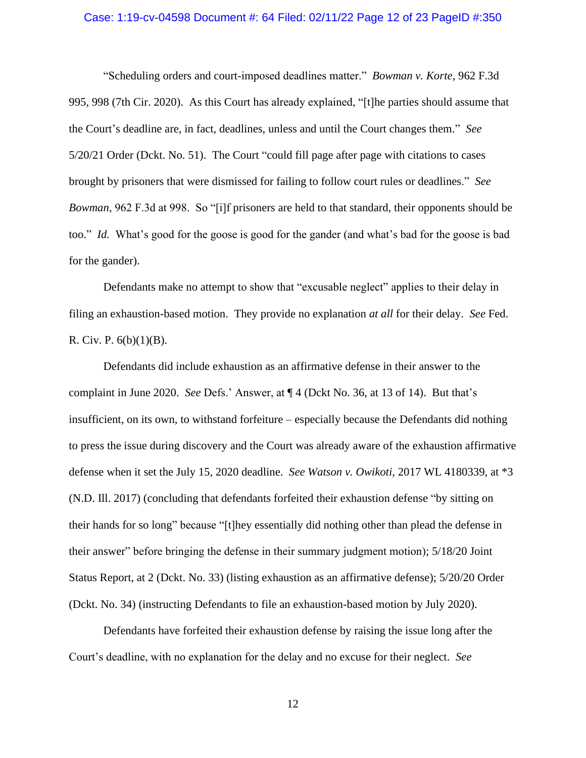### Case: 1:19-cv-04598 Document #: 64 Filed: 02/11/22 Page 12 of 23 PageID #:350

"Scheduling orders and court-imposed deadlines matter." *Bowman v. Korte*, 962 F.3d 995, 998 (7th Cir. 2020). As this Court has already explained, "[t]he parties should assume that the Court's deadline are, in fact, deadlines, unless and until the Court changes them." *See*  5/20/21 Order (Dckt. No. 51). The Court "could fill page after page with citations to cases brought by prisoners that were dismissed for failing to follow court rules or deadlines." *See Bowman*, 962 F.3d at 998. So "[i]f prisoners are held to that standard, their opponents should be too." *Id.* What's good for the goose is good for the gander (and what's bad for the goose is bad for the gander).

Defendants make no attempt to show that "excusable neglect" applies to their delay in filing an exhaustion-based motion. They provide no explanation *at all* for their delay. *See* Fed. R. Civ. P.  $6(b)(1)(B)$ .

Defendants did include exhaustion as an affirmative defense in their answer to the complaint in June 2020. *See* Defs.' Answer, at ¶ 4 (Dckt No. 36, at 13 of 14). But that's insufficient, on its own, to withstand forfeiture – especially because the Defendants did nothing to press the issue during discovery and the Court was already aware of the exhaustion affirmative defense when it set the July 15, 2020 deadline. *See Watson v. Owikoti*, 2017 WL 4180339, at \*3 (N.D. Ill. 2017) (concluding that defendants forfeited their exhaustion defense "by sitting on their hands for so long" because "[t]hey essentially did nothing other than plead the defense in their answer" before bringing the defense in their summary judgment motion); 5/18/20 Joint Status Report, at 2 (Dckt. No. 33) (listing exhaustion as an affirmative defense); 5/20/20 Order (Dckt. No. 34) (instructing Defendants to file an exhaustion-based motion by July 2020).

Defendants have forfeited their exhaustion defense by raising the issue long after the Court's deadline, with no explanation for the delay and no excuse for their neglect. *See*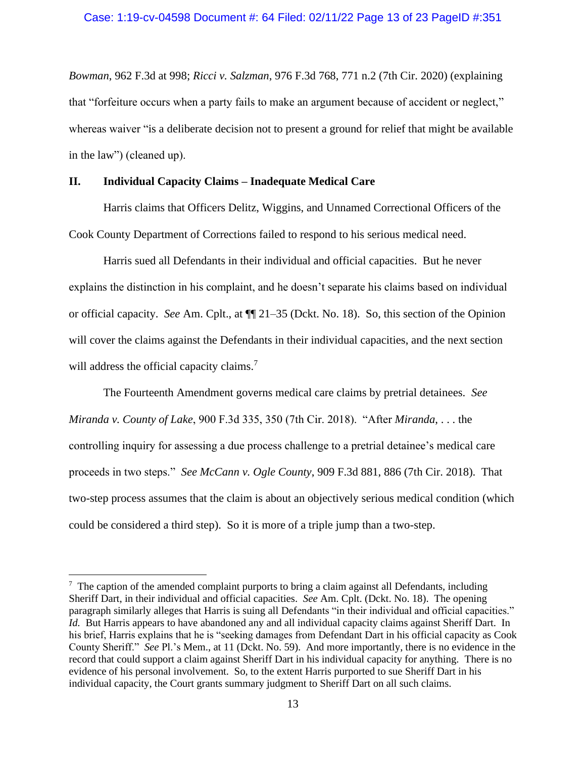*Bowman*, 962 F.3d at 998; *Ricci v. Salzman*, 976 F.3d 768, 771 n.2 (7th Cir. 2020) (explaining that "forfeiture occurs when a party fails to make an argument because of accident or neglect," whereas waiver "is a deliberate decision not to present a ground for relief that might be available in the law") (cleaned up).

# **II. Individual Capacity Claims – Inadequate Medical Care**

Harris claims that Officers Delitz, Wiggins, and Unnamed Correctional Officers of the Cook County Department of Corrections failed to respond to his serious medical need.

Harris sued all Defendants in their individual and official capacities. But he never explains the distinction in his complaint, and he doesn't separate his claims based on individual or official capacity. *See* Am. Cplt., at ¶¶ 21–35 (Dckt. No. 18). So, this section of the Opinion will cover the claims against the Defendants in their individual capacities, and the next section will address the official capacity claims.<sup>7</sup>

The Fourteenth Amendment governs medical care claims by pretrial detainees. *See Miranda v. County of Lake*, 900 F.3d 335, 350 (7th Cir. 2018). "After *Miranda*, . . . the controlling inquiry for assessing a due process challenge to a pretrial detainee's medical care proceeds in two steps." *See McCann v. Ogle County*, 909 F.3d 881, 886 (7th Cir. 2018). That two-step process assumes that the claim is about an objectively serious medical condition (which could be considered a third step). So it is more of a triple jump than a two-step.

 $\frac{7}{1}$  The caption of the amended complaint purports to bring a claim against all Defendants, including Sheriff Dart, in their individual and official capacities. *See* Am. Cplt. (Dckt. No. 18). The opening paragraph similarly alleges that Harris is suing all Defendants "in their individual and official capacities." *Id.* But Harris appears to have abandoned any and all individual capacity claims against Sheriff Dart. In his brief, Harris explains that he is "seeking damages from Defendant Dart in his official capacity as Cook County Sheriff." *See* Pl.'s Mem., at 11 (Dckt. No. 59). And more importantly, there is no evidence in the record that could support a claim against Sheriff Dart in his individual capacity for anything. There is no evidence of his personal involvement. So, to the extent Harris purported to sue Sheriff Dart in his individual capacity, the Court grants summary judgment to Sheriff Dart on all such claims.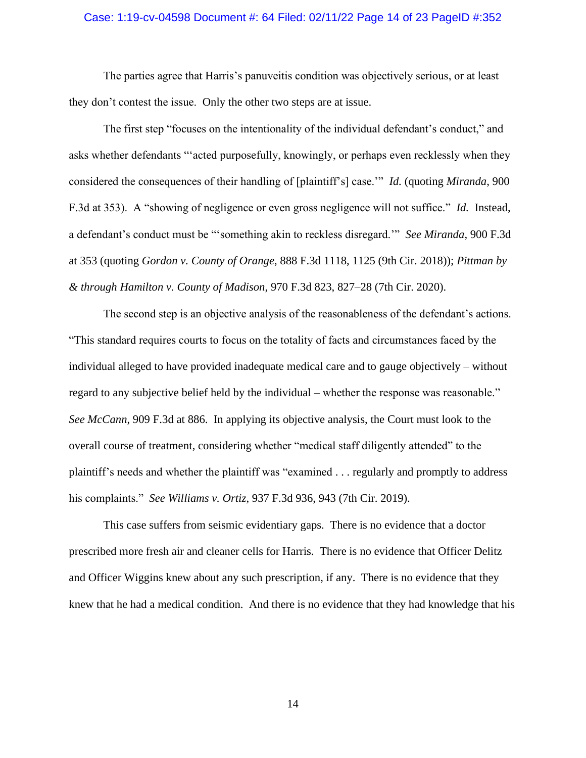## Case: 1:19-cv-04598 Document #: 64 Filed: 02/11/22 Page 14 of 23 PageID #:352

The parties agree that Harris's panuveitis condition was objectively serious, or at least they don't contest the issue. Only the other two steps are at issue.

The first step "focuses on the intentionality of the individual defendant's conduct," and asks whether defendants "'acted purposefully, knowingly, or perhaps even recklessly when they considered the consequences of their handling of [plaintiff's] case.'" *Id.* (quoting *Miranda*, 900 F.3d at 353). A "showing of negligence or even gross negligence will not suffice." *Id.* Instead, a defendant's conduct must be "'something akin to reckless disregard.'" *See Miranda*, 900 F.3d at 353 (quoting *Gordon v. County of Orange*, 888 F.3d 1118, 1125 (9th Cir. 2018)); *Pittman by & through Hamilton v. County of Madison*, 970 F.3d 823, 827–28 (7th Cir. 2020).

The second step is an objective analysis of the reasonableness of the defendant's actions. "This standard requires courts to focus on the totality of facts and circumstances faced by the individual alleged to have provided inadequate medical care and to gauge objectively – without regard to any subjective belief held by the individual – whether the response was reasonable." *See McCann*, 909 F.3d at 886. In applying its objective analysis, the Court must look to the overall course of treatment, considering whether "medical staff diligently attended" to the plaintiff's needs and whether the plaintiff was "examined . . . regularly and promptly to address his complaints." *See Williams v. Ortiz*, 937 F.3d 936, 943 (7th Cir. 2019).

This case suffers from seismic evidentiary gaps. There is no evidence that a doctor prescribed more fresh air and cleaner cells for Harris. There is no evidence that Officer Delitz and Officer Wiggins knew about any such prescription, if any. There is no evidence that they knew that he had a medical condition. And there is no evidence that they had knowledge that his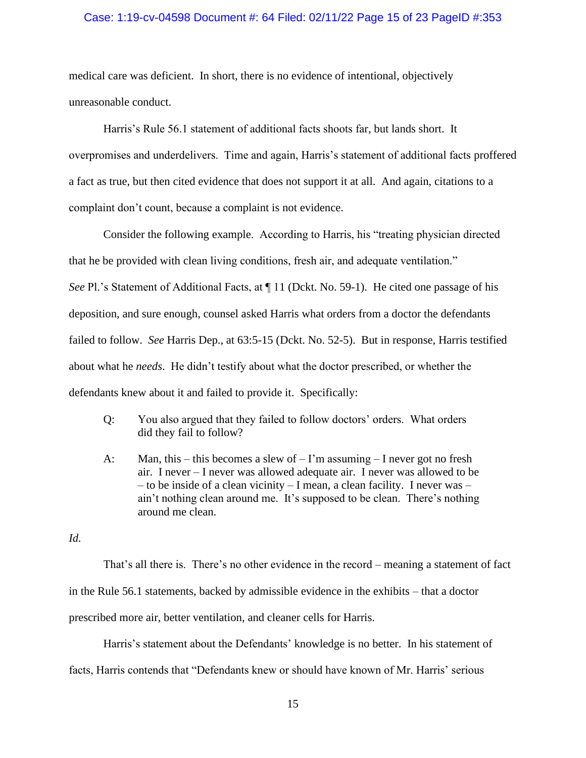## Case: 1:19-cv-04598 Document #: 64 Filed: 02/11/22 Page 15 of 23 PageID #:353

medical care was deficient. In short, there is no evidence of intentional, objectively unreasonable conduct.

Harris's Rule 56.1 statement of additional facts shoots far, but lands short. It overpromises and underdelivers. Time and again, Harris's statement of additional facts proffered a fact as true, but then cited evidence that does not support it at all. And again, citations to a complaint don't count, because a complaint is not evidence.

Consider the following example. According to Harris, his "treating physician directed that he be provided with clean living conditions, fresh air, and adequate ventilation." *See* Pl.'s Statement of Additional Facts, at ¶ 11 (Dckt. No. 59-1). He cited one passage of his deposition, and sure enough, counsel asked Harris what orders from a doctor the defendants failed to follow. *See* Harris Dep., at 63:5-15 (Dckt. No. 52-5). But in response, Harris testified about what he *needs*. He didn't testify about what the doctor prescribed, or whether the defendants knew about it and failed to provide it. Specifically:

- Q: You also argued that they failed to follow doctors' orders. What orders did they fail to follow?
- A: Man, this this becomes a slew of  $-1$ 'm assuming I never got no fresh air. I never – I never was allowed adequate air. I never was allowed to be – to be inside of a clean vicinity – I mean, a clean facility. I never was – ain't nothing clean around me. It's supposed to be clean. There's nothing around me clean.

*Id.*

That's all there is. There's no other evidence in the record – meaning a statement of fact in the Rule 56.1 statements, backed by admissible evidence in the exhibits – that a doctor prescribed more air, better ventilation, and cleaner cells for Harris.

Harris's statement about the Defendants' knowledge is no better. In his statement of

facts, Harris contends that "Defendants knew or should have known of Mr. Harris' serious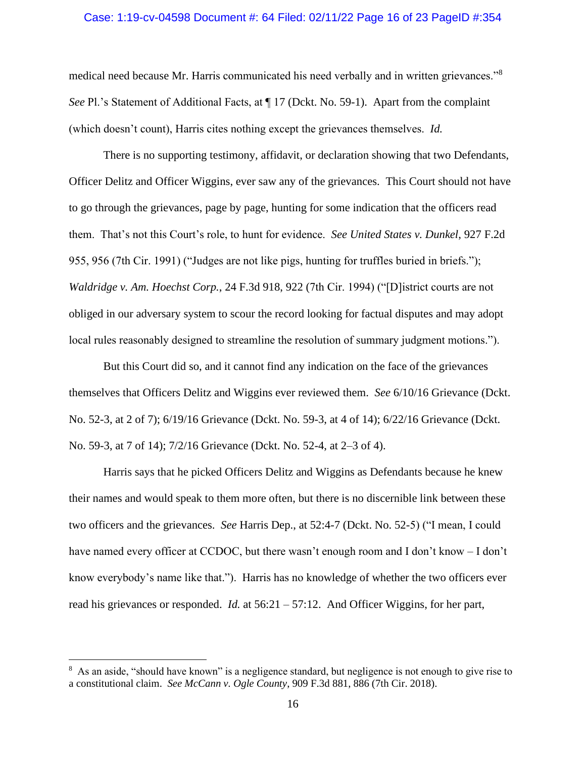### Case: 1:19-cv-04598 Document #: 64 Filed: 02/11/22 Page 16 of 23 PageID #:354

medical need because Mr. Harris communicated his need verbally and in written grievances."<sup>8</sup> *See* Pl.'s Statement of Additional Facts, at ¶ 17 (Dckt. No. 59-1). Apart from the complaint (which doesn't count), Harris cites nothing except the grievances themselves. *Id.* 

There is no supporting testimony, affidavit, or declaration showing that two Defendants, Officer Delitz and Officer Wiggins, ever saw any of the grievances. This Court should not have to go through the grievances, page by page, hunting for some indication that the officers read them. That's not this Court's role, to hunt for evidence. *See United States v. Dunkel*, 927 F.2d 955, 956 (7th Cir. 1991) ("Judges are not like pigs, hunting for truffles buried in briefs."); *Waldridge v. Am. Hoechst Corp.*, 24 F.3d 918, 922 (7th Cir. 1994) ("[D]istrict courts are not obliged in our adversary system to scour the record looking for factual disputes and may adopt local rules reasonably designed to streamline the resolution of summary judgment motions.").

But this Court did so, and it cannot find any indication on the face of the grievances themselves that Officers Delitz and Wiggins ever reviewed them. *See* 6/10/16 Grievance (Dckt. No. 52-3, at 2 of 7); 6/19/16 Grievance (Dckt. No. 59-3, at 4 of 14); 6/22/16 Grievance (Dckt. No. 59-3, at 7 of 14); 7/2/16 Grievance (Dckt. No. 52-4, at 2–3 of 4).

Harris says that he picked Officers Delitz and Wiggins as Defendants because he knew their names and would speak to them more often, but there is no discernible link between these two officers and the grievances. *See* Harris Dep., at 52:4-7 (Dckt. No. 52-5) ("I mean, I could have named every officer at CCDOC, but there wasn't enough room and I don't know – I don't know everybody's name like that."). Harris has no knowledge of whether the two officers ever read his grievances or responded. *Id.* at 56:21 – 57:12. And Officer Wiggins, for her part,

<sup>&</sup>lt;sup>8</sup> As an aside, "should have known" is a negligence standard, but negligence is not enough to give rise to a constitutional claim. *See McCann v. Ogle County*, 909 F.3d 881, 886 (7th Cir. 2018).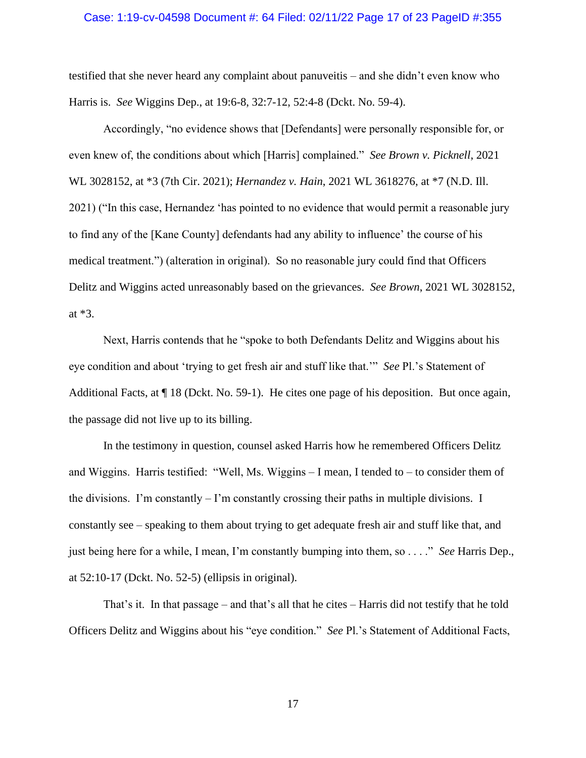### Case: 1:19-cv-04598 Document #: 64 Filed: 02/11/22 Page 17 of 23 PageID #:355

testified that she never heard any complaint about panuveitis – and she didn't even know who Harris is. *See* Wiggins Dep., at 19:6-8, 32:7-12, 52:4-8 (Dckt. No. 59-4).

Accordingly, "no evidence shows that [Defendants] were personally responsible for, or even knew of, the conditions about which [Harris] complained." *See Brown v. Picknell*, 2021 WL 3028152, at \*3 (7th Cir. 2021); *Hernandez v. Hain*, 2021 WL 3618276, at \*7 (N.D. Ill. 2021) ("In this case, Hernandez 'has pointed to no evidence that would permit a reasonable jury to find any of the [Kane County] defendants had any ability to influence' the course of his medical treatment.") (alteration in original). So no reasonable jury could find that Officers Delitz and Wiggins acted unreasonably based on the grievances. *See Brown*, 2021 WL 3028152, at \*3.

Next, Harris contends that he "spoke to both Defendants Delitz and Wiggins about his eye condition and about 'trying to get fresh air and stuff like that.'" *See* Pl.'s Statement of Additional Facts, at ¶ 18 (Dckt. No. 59-1). He cites one page of his deposition. But once again, the passage did not live up to its billing.

In the testimony in question, counsel asked Harris how he remembered Officers Delitz and Wiggins. Harris testified: "Well, Ms. Wiggins – I mean, I tended to – to consider them of the divisions. I'm constantly – I'm constantly crossing their paths in multiple divisions. I constantly see – speaking to them about trying to get adequate fresh air and stuff like that, and just being here for a while, I mean, I'm constantly bumping into them, so . . . ." *See* Harris Dep., at 52:10-17 (Dckt. No. 52-5) (ellipsis in original).

That's it. In that passage – and that's all that he cites – Harris did not testify that he told Officers Delitz and Wiggins about his "eye condition." *See* Pl.'s Statement of Additional Facts,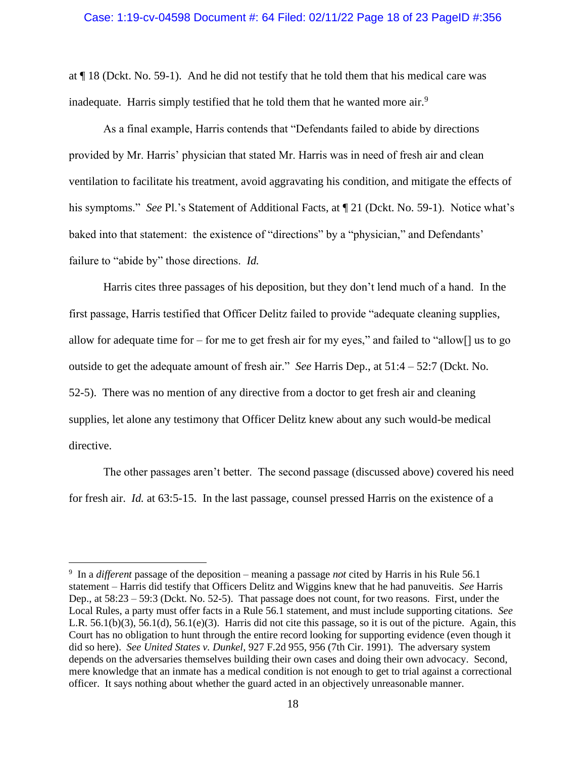at ¶ 18 (Dckt. No. 59-1). And he did not testify that he told them that his medical care was inadequate. Harris simply testified that he told them that he wanted more air.<sup>9</sup>

As a final example, Harris contends that "Defendants failed to abide by directions provided by Mr. Harris' physician that stated Mr. Harris was in need of fresh air and clean ventilation to facilitate his treatment, avoid aggravating his condition, and mitigate the effects of his symptoms." *See* Pl.'s Statement of Additional Facts, at ¶ 21 (Dckt. No. 59-1). Notice what's baked into that statement: the existence of "directions" by a "physician," and Defendants' failure to "abide by" those directions. *Id.* 

Harris cites three passages of his deposition, but they don't lend much of a hand. In the first passage, Harris testified that Officer Delitz failed to provide "adequate cleaning supplies, allow for adequate time for – for me to get fresh air for my eyes," and failed to "allow[] us to go outside to get the adequate amount of fresh air." *See* Harris Dep., at 51:4 – 52:7 (Dckt. No. 52-5). There was no mention of any directive from a doctor to get fresh air and cleaning supplies, let alone any testimony that Officer Delitz knew about any such would-be medical directive.

The other passages aren't better. The second passage (discussed above) covered his need for fresh air. *Id.* at 63:5-15. In the last passage, counsel pressed Harris on the existence of a

<sup>9</sup> In a *different* passage of the deposition – meaning a passage *not* cited by Harris in his Rule 56.1 statement – Harris did testify that Officers Delitz and Wiggins knew that he had panuveitis. *See* Harris Dep., at 58:23 – 59:3 (Dckt. No. 52-5). That passage does not count, for two reasons. First, under the Local Rules, a party must offer facts in a Rule 56.1 statement, and must include supporting citations. *See*  L.R. 56.1(b)(3), 56.1(d), 56.1(e)(3). Harris did not cite this passage, so it is out of the picture. Again, this Court has no obligation to hunt through the entire record looking for supporting evidence (even though it did so here). *See United States v. Dunkel*, 927 F.2d 955, 956 (7th Cir. 1991). The adversary system depends on the adversaries themselves building their own cases and doing their own advocacy. Second, mere knowledge that an inmate has a medical condition is not enough to get to trial against a correctional officer. It says nothing about whether the guard acted in an objectively unreasonable manner.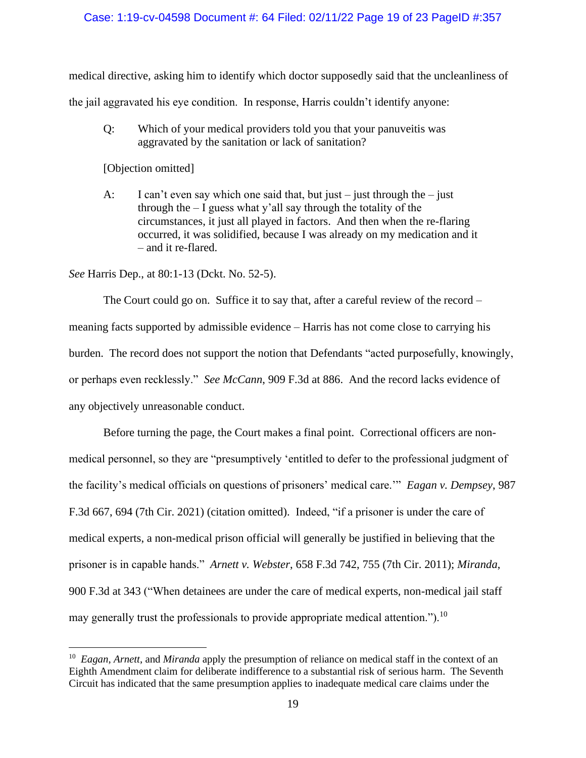# Case: 1:19-cv-04598 Document #: 64 Filed: 02/11/22 Page 19 of 23 PageID #:357

medical directive, asking him to identify which doctor supposedly said that the uncleanliness of

the jail aggravated his eye condition. In response, Harris couldn't identify anyone:

Q: Which of your medical providers told you that your panuveitis was aggravated by the sanitation or lack of sanitation?

[Objection omitted]

A: I can't even say which one said that, but just – just through the – just through the  $-$  I guess what y'all say through the totality of the circumstances, it just all played in factors. And then when the re-flaring occurred, it was solidified, because I was already on my medication and it – and it re-flared.

*See* Harris Dep., at 80:1-13 (Dckt. No. 52-5).

The Court could go on. Suffice it to say that, after a careful review of the record – meaning facts supported by admissible evidence – Harris has not come close to carrying his burden. The record does not support the notion that Defendants "acted purposefully, knowingly, or perhaps even recklessly." *See McCann*, 909 F.3d at 886. And the record lacks evidence of any objectively unreasonable conduct.

Before turning the page, the Court makes a final point. Correctional officers are nonmedical personnel, so they are "presumptively 'entitled to defer to the professional judgment of the facility's medical officials on questions of prisoners' medical care.'" *Eagan v. Dempsey*, 987 F.3d 667, 694 (7th Cir. 2021) (citation omitted). Indeed, "if a prisoner is under the care of medical experts, a non-medical prison official will generally be justified in believing that the prisoner is in capable hands." *Arnett v. Webster*, 658 F.3d 742, 755 (7th Cir. 2011); *Miranda*, 900 F.3d at 343 ("When detainees are under the care of medical experts, non-medical jail staff may generally trust the professionals to provide appropriate medical attention.").<sup>10</sup>

<sup>10</sup> *Eagan*, *Arnett*, and *Miranda* apply the presumption of reliance on medical staff in the context of an Eighth Amendment claim for deliberate indifference to a substantial risk of serious harm. The Seventh Circuit has indicated that the same presumption applies to inadequate medical care claims under the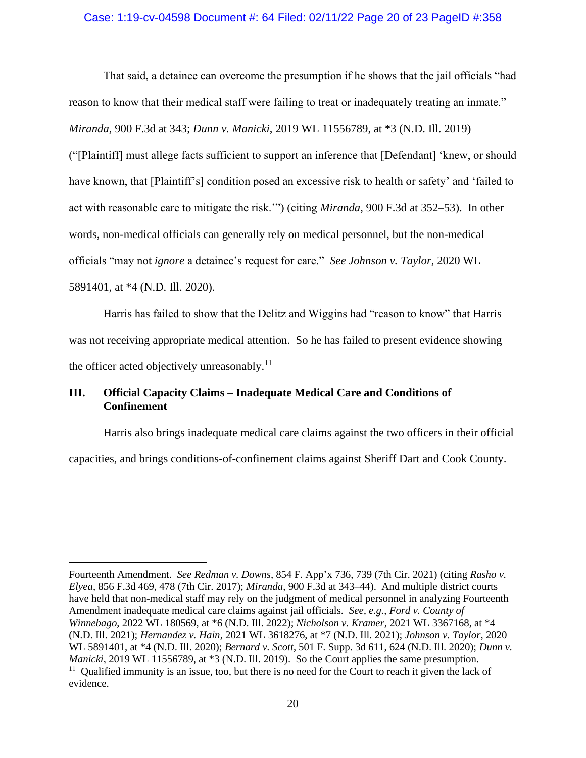## Case: 1:19-cv-04598 Document #: 64 Filed: 02/11/22 Page 20 of 23 PageID #:358

That said, a detainee can overcome the presumption if he shows that the jail officials "had reason to know that their medical staff were failing to treat or inadequately treating an inmate." *Miranda*, 900 F.3d at 343; *Dunn v. Manicki*, 2019 WL 11556789, at \*3 (N.D. Ill. 2019) ("[Plaintiff] must allege facts sufficient to support an inference that [Defendant] 'knew, or should have known, that [Plaintiff's] condition posed an excessive risk to health or safety' and 'failed to act with reasonable care to mitigate the risk.'") (citing *Miranda*, 900 F.3d at 352–53). In other words, non-medical officials can generally rely on medical personnel, but the non-medical officials "may not *ignore* a detainee's request for care." *See Johnson v. Taylor*, 2020 WL 5891401, at \*4 (N.D. Ill. 2020).

Harris has failed to show that the Delitz and Wiggins had "reason to know" that Harris was not receiving appropriate medical attention. So he has failed to present evidence showing the officer acted objectively unreasonably.<sup>11</sup>

# **III. Official Capacity Claims – Inadequate Medical Care and Conditions of Confinement**

Harris also brings inadequate medical care claims against the two officers in their official

capacities, and brings conditions-of-confinement claims against Sheriff Dart and Cook County.

Fourteenth Amendment. *See Redman v. Downs*, 854 F. App'x 736, 739 (7th Cir. 2021) (citing *Rasho v. Elyea*, 856 F.3d 469, 478 (7th Cir. 2017); *Miranda*, 900 F.3d at 343–44). And multiple district courts have held that non-medical staff may rely on the judgment of medical personnel in analyzing Fourteenth Amendment inadequate medical care claims against jail officials. *See, e.g.*, *Ford v. County of Winnebago*, 2022 WL 180569, at \*6 (N.D. Ill. 2022); *Nicholson v. Kramer*, 2021 WL 3367168, at \*4 (N.D. Ill. 2021); *Hernandez v. Hain*, 2021 WL 3618276, at \*7 (N.D. Ill. 2021); *Johnson v. Taylor*, 2020 WL 5891401, at \*4 (N.D. Ill. 2020); *Bernard v. Scott*, 501 F. Supp. 3d 611, 624 (N.D. Ill. 2020); *Dunn v. Manicki*, 2019 WL 11556789, at \*3 (N.D. Ill. 2019). So the Court applies the same presumption. <sup>11</sup> Qualified immunity is an issue, too, but there is no need for the Court to reach it given the lack of evidence.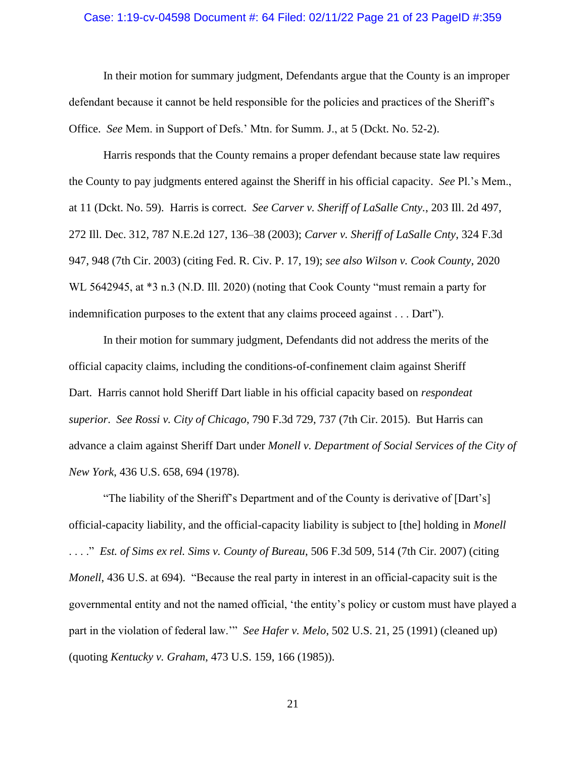#### Case: 1:19-cv-04598 Document #: 64 Filed: 02/11/22 Page 21 of 23 PageID #:359

In their motion for summary judgment, Defendants argue that the County is an improper defendant because it cannot be held responsible for the policies and practices of the Sheriff's Office. *See* Mem. in Support of Defs.' Mtn. for Summ. J., at 5 (Dckt. No. 52-2).

Harris responds that the County remains a proper defendant because state law requires the County to pay judgments entered against the Sheriff in his official capacity. *See* Pl.'s Mem., at 11 (Dckt. No. 59). Harris is correct. *See Carver v. Sheriff of LaSalle Cnty.*, 203 Ill. 2d 497, 272 Ill. Dec. 312, 787 N.E.2d 127, 136–38 (2003); *Carver v. Sheriff of LaSalle Cnty*, 324 F.3d 947, 948 (7th Cir. 2003) (citing Fed. R. Civ. P. 17, 19); *see also Wilson v. Cook County*, 2020 WL 5642945, at  $*3$  n.3 (N.D. Ill. 2020) (noting that Cook County "must remain a party for indemnification purposes to the extent that any claims proceed against . . . Dart").

In their motion for summary judgment, Defendants did not address the merits of the official capacity claims, including the conditions-of-confinement claim against Sheriff Dart. Harris cannot hold Sheriff Dart liable in his official capacity based on *respondeat superior*. *See Rossi v. City of Chicago*, 790 F.3d 729, 737 (7th Cir. 2015). But Harris can advance a claim against Sheriff Dart under *Monell v. Department of Social Services of the City of New York*, 436 U.S. 658, 694 (1978).

"The liability of the Sheriff's Department and of the County is derivative of [Dart's] official-capacity liability, and the official-capacity liability is subject to [the] holding in *Monell* . . . ." *Est. of Sims ex rel. Sims v. County of Bureau*, 506 F.3d 509, 514 (7th Cir. 2007) (citing *Monell*, 436 U.S. at 694). "Because the real party in interest in an official-capacity suit is the governmental entity and not the named official, 'the entity's policy or custom must have played a part in the violation of federal law.'" *See Hafer v. Melo*, 502 U.S. 21, 25 (1991) (cleaned up) (quoting *Kentucky v. Graham*, 473 U.S. 159, 166 (1985)).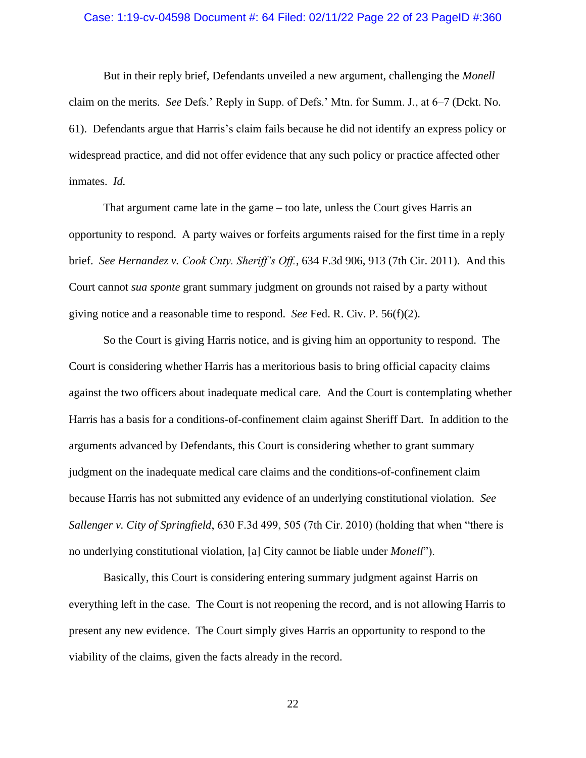### Case: 1:19-cv-04598 Document #: 64 Filed: 02/11/22 Page 22 of 23 PageID #:360

But in their reply brief, Defendants unveiled a new argument, challenging the *Monell* claim on the merits. *See* Defs.' Reply in Supp. of Defs.' Mtn. for Summ. J., at 6–7 (Dckt. No. 61). Defendants argue that Harris's claim fails because he did not identify an express policy or widespread practice, and did not offer evidence that any such policy or practice affected other inmates. *Id.*

That argument came late in the game – too late, unless the Court gives Harris an opportunity to respond. A party waives or forfeits arguments raised for the first time in a reply brief. *See Hernandez v. Cook Cnty. Sheriff's Off.*, 634 F.3d 906, 913 (7th Cir. 2011). And this Court cannot *sua sponte* grant summary judgment on grounds not raised by a party without giving notice and a reasonable time to respond. *See* Fed. R. Civ. P. 56(f)(2).

So the Court is giving Harris notice, and is giving him an opportunity to respond. The Court is considering whether Harris has a meritorious basis to bring official capacity claims against the two officers about inadequate medical care. And the Court is contemplating whether Harris has a basis for a conditions-of-confinement claim against Sheriff Dart. In addition to the arguments advanced by Defendants, this Court is considering whether to grant summary judgment on the inadequate medical care claims and the conditions-of-confinement claim because Harris has not submitted any evidence of an underlying constitutional violation. *See Sallenger v. City of Springfield*, 630 F.3d 499, 505 (7th Cir. 2010) (holding that when "there is no underlying constitutional violation, [a] City cannot be liable under *Monell*").

Basically, this Court is considering entering summary judgment against Harris on everything left in the case. The Court is not reopening the record, and is not allowing Harris to present any new evidence. The Court simply gives Harris an opportunity to respond to the viability of the claims, given the facts already in the record.